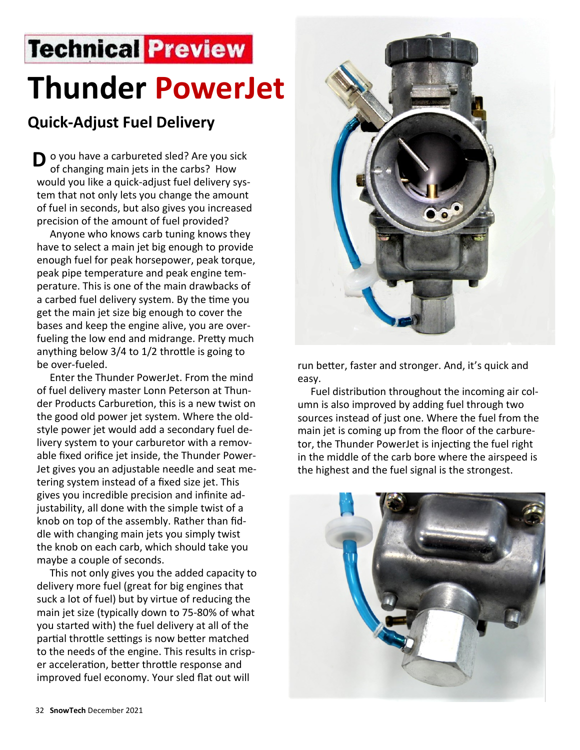## **Technical Preview Thunder PowerJet**

## **Quick-Adjust Fuel Delivery**

**D** o you have a carbureted sled? Are you sick of changing main jets in the carbs? How of changing main jets in the carbs? How would you like a quick-adjust fuel delivery system that not only lets you change the amount of fuel in seconds, but also gives you increased precision of the amount of fuel provided?

 Anyone who knows carb tuning knows they have to select a main jet big enough to provide enough fuel for peak horsepower, peak torque, peak pipe temperature and peak engine temperature. This is one of the main drawbacks of a carbed fuel delivery system. By the time you get the main jet size big enough to cover the bases and keep the engine alive, you are overfueling the low end and midrange. Pretty much anything below 3/4 to 1/2 throttle is going to be over-fueled.

 Enter the Thunder PowerJet. From the mind of fuel delivery master Lonn Peterson at Thunder Products Carburetion, this is a new twist on the good old power jet system. Where the oldstyle power jet would add a secondary fuel delivery system to your carburetor with a removable fixed orifice jet inside, the Thunder Power-Jet gives you an adjustable needle and seat metering system instead of a fixed size jet. This gives you incredible precision and infinite adjustability, all done with the simple twist of a knob on top of the assembly. Rather than fiddle with changing main jets you simply twist the knob on each carb, which should take you maybe a couple of seconds.

 This not only gives you the added capacity to delivery more fuel (great for big engines that suck a lot of fuel) but by virtue of reducing the main jet size (typically down to 75-80% of what you started with) the fuel delivery at all of the partial throttle settings is now better matched to the needs of the engine. This results in crisper acceleration, better throttle response and improved fuel economy. Your sled flat out will



run better, faster and stronger. And, it's quick and easy.

 Fuel distribution throughout the incoming air column is also improved by adding fuel through two sources instead of just one. Where the fuel from the main jet is coming up from the floor of the carburetor, the Thunder PowerJet is injecting the fuel right in the middle of the carb bore where the airspeed is the highest and the fuel signal is the strongest.